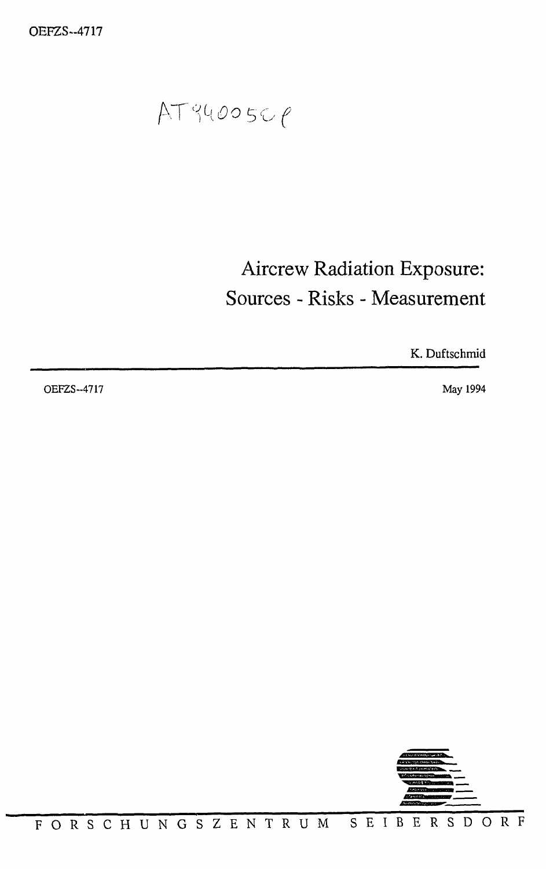$AT94005C$  $P$ 

# Aircrew Radiation Exposure: Sources - Risks - Measurement

K. Duftschmid

OEFZS--4717 May 1994

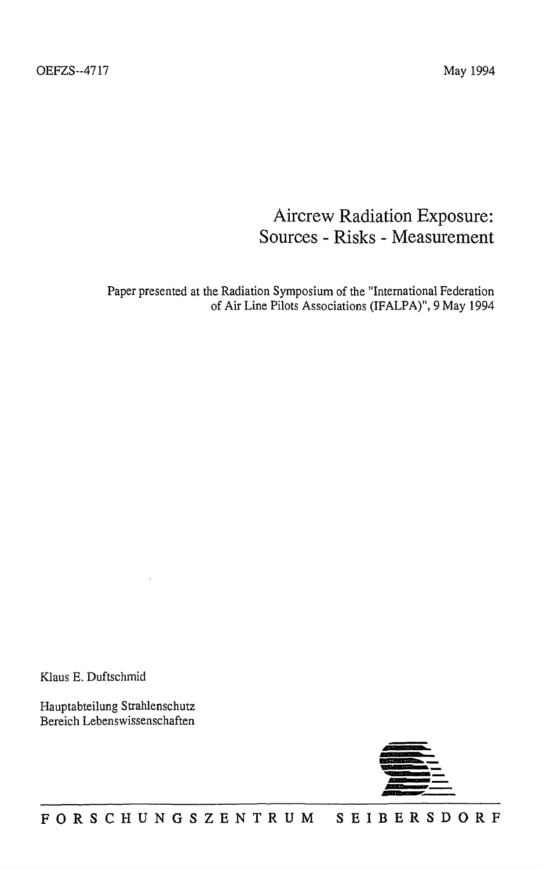## Aircrew Radiation Exposure: Sources - Risks - Measurement

Paper presented at the Radiation Symposium of the "International Federation of Air Line Pilots Associations (IFALPA)", 9 May 1994

Klaus E. Duftschmid

Hauptabteilung Strahlenschutz Bereich Lebenswissenschaften

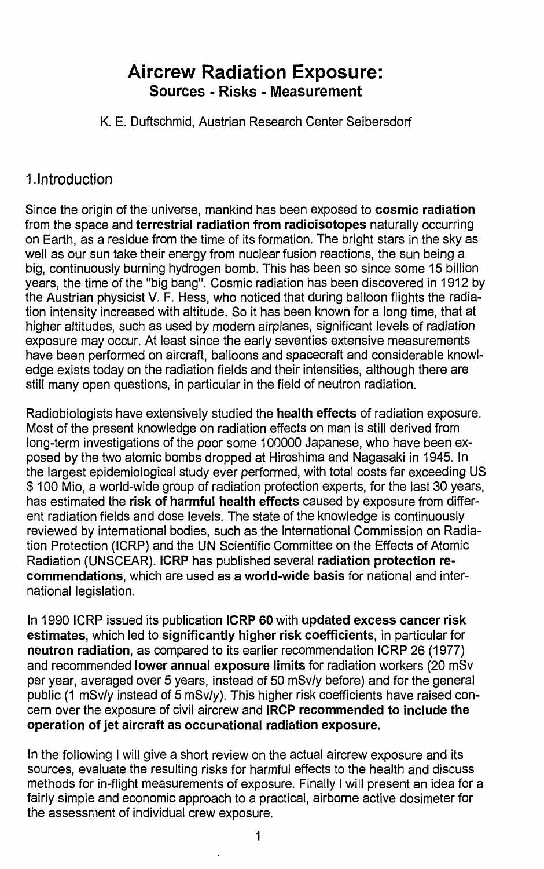## **Aircrew Radiation Exposure: Sources - Risks - Measurement**

K. E. Duftschmid, Austrian Research Center Seibersdorf

#### **1. Introduction**

Since the origin of the universe, mankind has been exposed to **cosmic radiation** from the space and **terrestrial radiation from radioisotopes** naturally occurring on Earth, as a residue from the time of its formation. The bright stars in the sky as well as our sun take their energy from nuclear fusion reactions, the sun being a big, continuously burning hydrogen bomb. This has been so since some 15 billion years, the time of the "big bang". Cosmic radiation has been discovered in 1912 by the Austrian physicist V. F. Hess, who noticed that during balloon flights the radiation intensity increased with altitude. So it has been known for a long time, that at higher altitudes, such as used by modern airplanes, significant levels of radiation exposure may occur. At least since the early seventies extensive measurements have been performed on aircraft, balloons and spacecraft and considerable knowledge exists today on the radiation fields and their intensities, although there are still many open questions, in particular in the field of neutron radiation.

Radiobiologists have extensively studied the **health effects** of radiation exposure. Most of the present knowledge on radiation effects on man is still derived from long-term investigations of the poor some 100000 Japanese, who have been exposed by the two atomic bombs dropped at Hiroshima and Nagasaki in 1945. In the largest epidemiological study ever performed, with total costs far exceeding US \$ 100 Mio, a world-wide group of radiation protection experts, for the last 30 years, has estimated the **risk of harmful health effects** caused by exposure from different radiation fields and dose levels. The state of the knowledge is continuously reviewed by international bodies, such as the International Commission on Radiation Protection (ICRP) and the UN Scientific Committee on the Effects of Atomic Radiation (UNSCEAR). **ICRP** has published several **radiation protection recommendations,** which are used as a **world-wide basis** for national and international legislation.

In 1990 ICRP issued its publication **ICRP 60** with **updated excess cancer risk estimates,** which led to **significantly higher risk coefficients,** in **particular** for **neutron radiation,** as compared to its earlier recommendation ICRP 26 (1977) and recommended **lower annual exposure limits** for radiation workers (20 mSv per year, averaged over 5 years, instead of 50 mSv/y before) and for the general public (1 mSv/y instead of 5 mSv/y). This higher risk coefficients have raised concern over the exposure of civil aircrew and **IRCP recommended to include the operation of jet aircraft as occupational radiation exposure.**

In the following I will give a short review on the actual aircrew exposure and its sources, evaluate the resulting risks for harmful effects to the health and discuss methods for in-flight measurements of exposure. Finally I will present an idea for a fairly simple and economic approach to a practical, airborne active dosimeter for the assessment of individual crew exposure.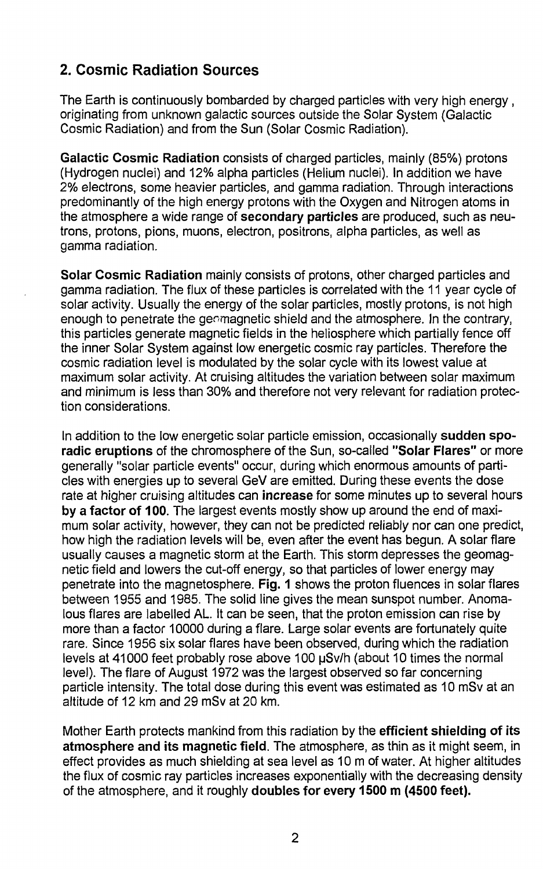### **2. Cosmic Radiation Sources**

The Earth is continuously bombarded by charged particles with very high energy , originating from unknown galactic sources outside the Solar System (Galactic Cosmic Radiation) and from the Sun (Solar Cosmic Radiation).

Galactic **Cosmic** Radiation consists of charged particles, mainly (85%) protons (Hydrogen nuclei) and 12% alpha particles (Helium nuclei). In addition we have 2% electrons, some heavier particles, and gamma radiation. Through interactions predominantly of the high energy protons with the Oxygen and Nitrogen atoms in the atmosphere a wide range of secondary **particles** are produced, such as neutrons, protons, pions, muons, electron, positrons, alpha particles, as well as gamma radiation.

**Solar Cosmic Radiation** mainly consists of protons, other charged particles and gamma radiation. The flux of these particles is correlated with the 11 year cycle of solar activity. Usually the energy of the solar particles, mostly protons, is not high enough to penetrate the geomagnetic shield and the atmosphere. In the contrary, this particles generate magnetic fields in the heliosphere which partially fence off the inner Solar System against low energetic cosmic ray particles. Therefore the cosmic radiation level is modulated by the solar cycle with its lowest value at maximum solar activity. At cruising altitudes the variation between solar maximum and minimum is less than 30% and therefore not very relevant for radiation protection considerations.

In addition to the low energetic solar particle emission, occasionally **sudden sporadic eruptions** of the chromosphere of the Sun, so-called **"Solar Flares"** or more generally "solar particle events" occur, during which enormous amounts of particles with energies up to several GeV are emitted. During these events the dose rate at higher cruising altitudes can **increase** for some minutes up to several hours **by a factor of 100.** The largest events mostly show up around the end of maximum solar activity, however, they can not be predicted reliably nor can one predict, how high the radiation levels will be, even after the event has begun. A solar flare usually causes a magnetic storm at the Earth. This storm depresses the geomagnetic field and lowers the cut-off energy, so that particles of lower energy may penetrate into the magnetosphere. Fig. 1 shows the proton fluences in solar flares between 1955 and 1985. The solid line gives the mean sunspot number. Anomalous flares are labelled AL. It can be seen, that the proton emission can rise by more than a factor 10000 during a flare. Large solar events are fortunately quite rare. Since 1956 six solar flares have been observed, during which the radiation levels at 41000 feet probably rose above 100 pSv/h (about 10 times the normal level). The flare of August 1972 was the largest observed so far concerning particle intensity. The total dose during this event was estimated as 10 mSv at an altitude of 12 km and 29 mSv at 20 km.

Mother Earth protects mankind from this radiation by the **efficient shielding of its atmosphere and its magnetic field.** The atmosphere, as thin as it might seem, in effect provides as much shielding at sea level as 10 m of water. At higher altitudes the flux of cosmic ray particles increases exponentially with the decreasing density of the atmosphere, and it roughly **doubles for every 1500 m (4500 feet).**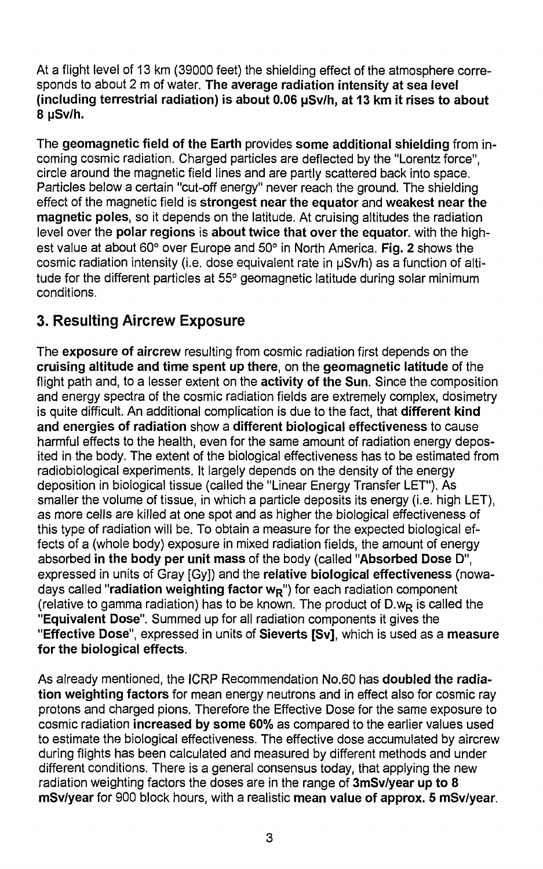At a flight level of 13 km (39000 feet) the shielding effect of the atmosphere corresponds to about 2 m of water. **The average radiation intensity at sea level (including terrestrial radiation) is about 0.06 pSv/h, at 13 km it rises to about 8**

The **geomagnetic field of the Earth** provides **some additional shielding** from incoming cosmic radiation. Charged particles are deflected by the "Lorentz force", circle around the magnetic field lines and are partly scattered back into space. Particles below a certain "cut-off energy" never reach the ground. The shielding effect of the magnetic field is **strongest near the equator** and **weakest near the magnetic poles,** so it depends on the latitude. At cruising altitudes the radiation level over the **polar regions** is **about twice that over the equator,** with the highest value at about 60° over Europe and 50° in North America. Fig. 2 shows the cosmic radiation intensity (i.e. dose equivalent rate in  $\mu Sv/h$ ) as a function of altitude for the different particles at 55° geomagnetic latitude during solar minimum conditions.

## **3. Resulting Aircrew Exposure**

The **exposure of aircrew** resulting from cosmic radiation first depends on the **cruising altitude and time spent up there,** on the **geomagnetic latitude** of the flight path and, to a lesser extent on the **activity of the Sun.** Since the composition and energy spectra of the cosmic radiation fields are extremely complex, dosimetry is quite difficult. An additional complication is due to the fact, that **different kind and energies of radiation** show a **different biological effectiveness** to cause harmful effects to the health, even for the same amount of radiation energy deposited in the body. The extent of the biological effectiveness has to be estimated from radiobiological experiments. It largely depends on the density of the energy deposition in biological tissue (called the "Linear Energy Transfer LET"). As smaller the volume of tissue, in which a particle deposits its energy (i.e. high LET), as more cells are killed at one spot and as higher the biological effectiveness of this type of radiation will be. To obtain a measure for the expected biological effects of a (whole body) exposure in mixed radiation fields, the amount of energy absorbed **in the body per unit mass** of the body (called **"Absorbed Dose D",** expressed in units of Gray [Gy]) and the **relative biological effectiveness** (nowadays called **"radiation weighting factor wR")** for each radiation component (relative to gamma radiation) has to be known. The product of  $D.w_R$  is called the **"Equivalent Dose".** Summed up for all radiation components it gives the **"Effective Dose",** expressed in units of **Sieverts [Sv],** which is used as a **measure for the biological effects.**

As already mentioned, the ICRP Recommendation No.60 has **doubled the radiation weighting factors** for mean energy neutrons and in effect also for cosmic ray protons and charged pions. Therefore the Effective Dose for the same exposure to cosmic radiation **increased by some 60%** as compared to the earlier values used to estimate the biological effectiveness. The effective dose accumulated by aircrew during flights has been calculated and measured by different methods and under different conditions. There is a general consensus today, that applying the new radiation weighting factors the doses are in the range of **3mSv/year up to 8 mSv/year** for 900 block hours, with a realistic **mean value of approx. 5 mSv/year.**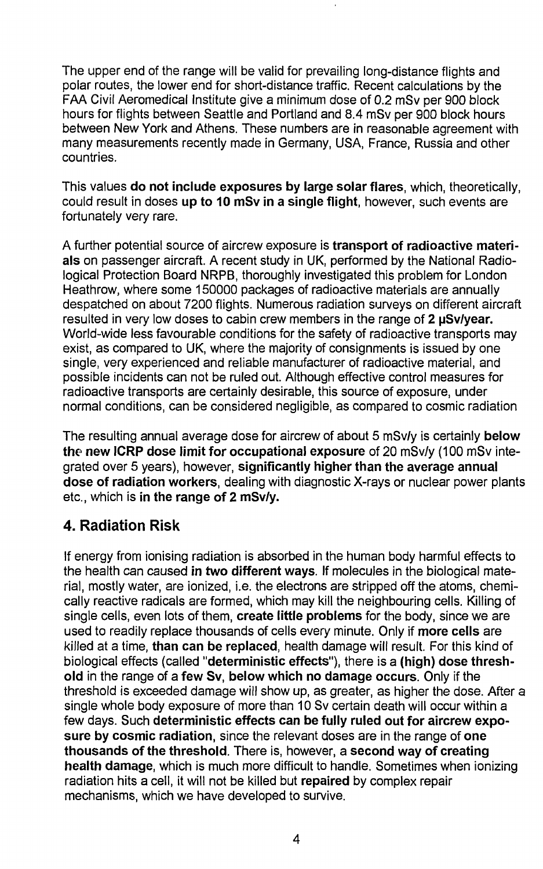The upper end of the range will be valid for prevailing long-distance flights and polar routes, the lower end for short-distance traffic. Recent calculations by the FAA Civil Aeromedical Institute give a minimum dose of 0.2 mSv per 900 block hours for flights between Seattle and Portland and 8.4 mSv per 900 block hours between New York and Athens. These numbers are in reasonable agreement with many measurements recently made in Germany, USA, France, Russia and other countries.

This values **do not include exposures by large solar flares,** which, theoretically, could result in doses **up to 10 mSv in a single flight,** however, such events are fortunately very rare.

A further potential source of aircrew exposure is **transport of radioactive materials** on passenger aircraft. A recent study in UK, performed by the National Radiological Protection Board NRPB, thoroughly investigated this problem for London Heathrow, where some 150000 packages of radioactive materials are annually despatched on about 7200 flights. Numerous radiation surveys on different aircraft resulted in very low doses to cabin crew members in the range of **2 pSv/year.** World-wide less favourable conditions for the safety of radioactive transports may exist, as compared to UK, where the majority of consignments is issued by one single, very experienced and reliable manufacturer of radioactive material, and possible incidents can not be ruled out. Although effective control measures for radioactive transports are certainly desirable, this source of exposure, under normal conditions, can be considered negligible, as compared to cosmic radiation

The resulting annual average dose for aircrew of about 5 mSv/y is certainly **below the new ICRP dose limit for occupational exposure** of 20 mSv/y (100 mSv integrated over 5 years), however, **significantly higher than the average annual dose of radiation workers,** dealing with diagnostic X-rays or nuclear power plants etc., which is **in the range of 2 mSv/y.**

#### **4. Radiation Risk**

If energy from ionising radiation is absorbed in the human body harmful effects to the health can caused **in two different ways.** If molecules in the biological material, mostly water, are ionized, i.e. the electrons are stripped off the atoms, chemically reactive radicals are formed, which may kill the neighbouring cells. Killing of single cells, even lots of them, **create little problems** for the body, since we are used to readily replace thousands of cells every minute. Only if **more cells** are killed at a time, **than can be replaced,** health damage will result. For this kind of biological effects (called **"deterministic effects"),** there is a **(high) dose threshold** in the range of a **few Sv, below which no damage occurs.** Only if the threshold is exceeded damage will show up, as greater, as higher the dose. After a single whole body exposure of more than 10 Sv certain death will occur within a few days. Such **deterministic effects can be fully ruled out for aircrew exposure by cosmic radiation,** since the relevant doses are in the range of **one thousands of the threshold.** There is, however, a **second way of creating health damage,** which is much more difficult to handle. Sometimes when ionizing radiation hits a cell, it will not be killed but **repaired** by complex repair mechanisms, which we have developed to survive.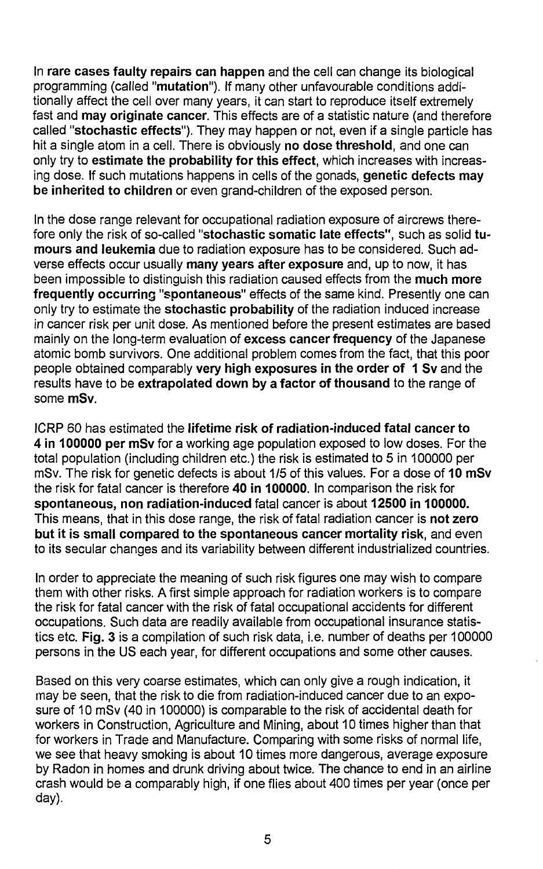In rare cases faulty repairs can happen and the cell can change its biological programming (called "mutation"). If many other unfavourable conditions additionally affect the cell over many years, it can start to reproduce itself extremely fast and may originate cancer. This effects are of a statistic nature (and therefore called "stochastic effects"). They may happen or not, even if a single particle has hit a single atom in a cell. There is obviously no dose threshold, and one can only try to estimate the probability for this effect, which increases with increasing dose. If such mutations happens in cells of the gonads, genetic defects may be inherited to children or even grand-children of the exposed person.

In the dose range relevant for occupational radiation exposure of aircrews therefore only the risk of so-called "stochastic somatic late effects", such as solid tumours and leukemia due to radiation exposure has to be considered. Such adverse effects occur usually many years after exposure and, up to now, it has been impossible to distinguish this radiation caused effects from the much more frequently occurring "spontaneous" effects of the same kind. Presently one can only try to estimate the stochastic probability of the radiation induced increase in cancer risk per unit dose. As mentioned before the present estimates are based mainly on the long-term evaluation of excess cancer frequency of the Japanese atomic bomb survivors. One additional problem comes from the fact, that this poor people obtained comparably very high exposures in the order of 1 Sv and the results have to be extrapolated down by a factor of thousand to the range of some mSv.

ICRP 60 has estimated the lifetime risk of radiation-induced fatal cancer to 4 in 100000 per mSv for a working age population exposed to low doses. For the total population (including children etc.) the risk is estimated to 5 in 100000 per mSv. The risk for genetic defects is about 1/5 of this values. For a dose of 10 mSv the risk for fatal cancer is therefore 40 in 100000. In comparison the risk for spontaneous, non radiation-induced fatal cancer is about 12500 in 100000. This means, that in this dose range, the risk of fatal radiation cancer is not zero but it is small compared to the spontaneous cancer mortality risk, and even to its secular changes and its variability between different industrialized countries.

In order to appreciate the meaning of such risk figures one may wish to compare them with other risks. A first simple approach for radiation workers is to compare the risk for fatal cancer with the risk of fatal occupational accidents for different occupations. Such data are readily available from occupational insurance statistics etc. Fig. 3 is a compilation of such risk data, i.e. number of deaths per 100000 persons in the US each year, for different occupations and some other causes.

Based on this very coarse estimates, which can only give a rough indication, it may be seen, that the risk to die from radiation-induced cancer due to an exposure of 10 mSv (40 in 100000) is comparable to the risk of accidental death for workers in Construction, Agriculture and Mining, about 10 times higher than that for workers in Trade and Manufacture. Comparing with some risks of normal life, we see that heavy smoking is about 10 times more dangerous, average exposure by Radon in homes and drunk driving about twice. The chance to end in an airline crash would be a comparably high, if one flies about 400 times per year (once per day).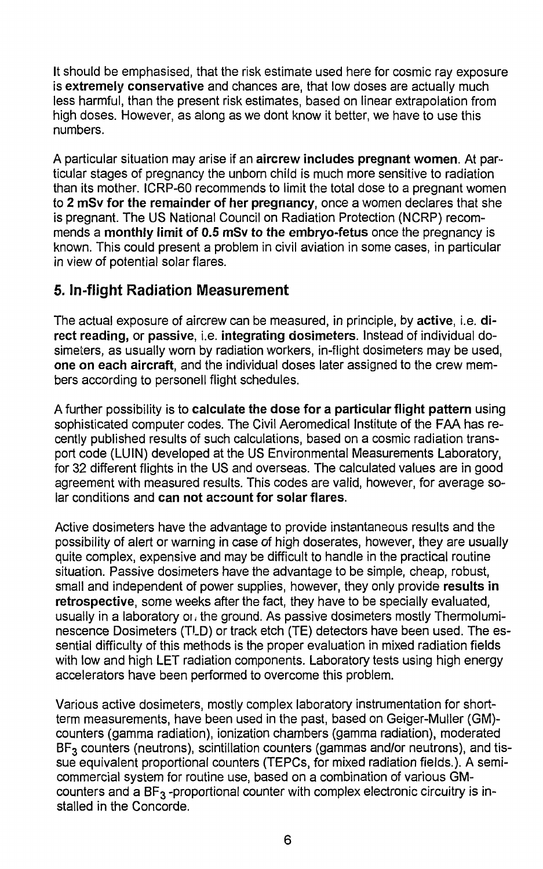It should be emphasised, that the risk estimate used here for cosmic ray exposure is extremely **conservative** and chances are, that low doses are actually much less harmful, than the present risk estimates, based on linear extrapolation from high doses. However, as along as we dont know it better, we have to use this numbers.

A particular situation may arise if an **aircrew includes pregnant women.** At particular stages of pregnancy the unborn child is much more sensitive to radiation than its mother. ICRP-60 recommends to limit the total dose to a pregnant women to **2 mSv for the remainder of her pregnancy,** once a women declares that she is pregnant. The US National Council on Radiation Protection (NCRP) recommends a **monthly limit of 0.5 mSv to the embryo-fetus** once the pregnancy is known. This could present a problem in civil aviation in some cases, in particular in view of potential solar flares.

#### **5. In-flight Radiation Measurement**

The actual exposure of aircrew can be measured, in principle, by **active, i.e. direct reading,** or **passive, i.e. integrating dosimeters.** Instead of individual dosimeters, as usually worn by radiation workers, in-flight dosimeters may be used, **one on each aircraft,** and the individual doses later assigned to the crew members according to personell flight schedules.

A further possibility is to **calculate the dose for a particular flight pattern** using sophisticated computer codes. The Civil Aeromedical Institute of the FAA has recently published results of such calculations, based on a cosmic radiation transport code (LUIN) developed at the US Environmental Measurements Laboratory, for 32 different flights in the US and overseas. The calculated values are in good agreement with measured results. This codes are valid, however, for average solar conditions and **can not account for solar flares.**

Active dosimeters have the advantage to provide instantaneous results and the possibility of alert or warning in case of high doserates, however, they are usually quite complex, expensive and may be difficult to handle in the practical routine situation. Passive dosimeters have the advantage to be simple, cheap, robust, small and independent of power supplies, however, they only provide **results in retrospective,** some weeks after the fact, they have to be specially evaluated, usually in a laboratory or, the ground. As passive dosimeters mostly Thermoluminescence Dosimeters (TLD) or track etch (TE) detectors have been used. The essential difficulty of this methods is the proper evaluation in mixed radiation fields with low and high LET radiation components. Laboratory tests using high energy accelerators have been performed to overcome this problem.

Various active dosimeters, mostly complex laboratory instrumentation for shortterm measurements, have been used in the past, based on Geiger-Muller (GM) counters (gamma radiation), ionization chambers (gamma radiation), moderated BF<sub>3</sub> counters (neutrons), scintillation counters (gammas and/or neutrons), and tissue equivalent proportional counters (TEPCs, for mixed radiation fields.). A semicommercial system for routine use, based on a combination of various GMcounters and a  $BF_3$ -proportional counter with complex electronic circuitry is installed in the Concorde.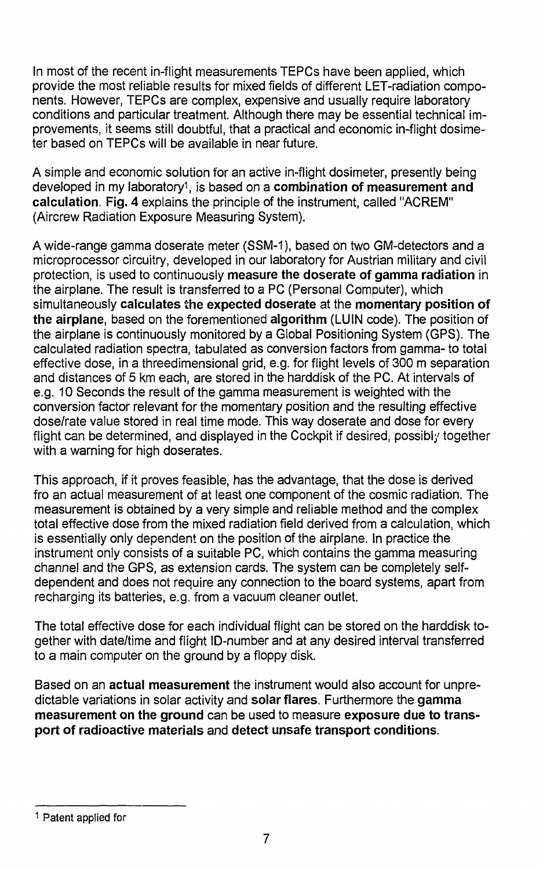In most of the recent in-flight measurements TEPCs have been applied, which provide the most reliable results for mixed fields of different LET-radiation components. However, TEPCs are complex, expensive and usually require laboratory conditions and particular treatment. Although there may be essential technical improvements, it seems still doubtful, that a practical and economic in-flight dosimeter based on TEPCs will be available in near future.

A simple and economic solution for an active in-flight dosimeter, presently being developed in my laboratory<sup>1</sup> , is based on a **combination of measurement and calculation. Fig. 4** explains the principle of the instrument, called "ACREM" (Aircrew Radiation Exposure Measuring System).

A wide-range gamma doserate meter (SSM-1), based on two GM-detectors and a microprocessor circuitry, developed in our laboratory for Austrian military and civil protection, is used to continuously **measure the doserate of gamma radiation** in the airplane. The result is transferred to a PC (Personal Computer), which simultaneously **calculates the expected doserate** at the **momentary position of the airplane,** based on the forementioned **algorithm** (LUIN code). The position of the airplane is continuously monitored by a Global Positioning System (GPS). The calculated radiation spectra, tabulated as conversion factors from gamma- to total effective dose, in a threedimensional grid, e.g. for flight levels of 300 m separation and distances of 5 km each, are stored in the harddisk of the PC. At intervals of e.g. 10 Seconds the result of the gamma measurement is weighted with the conversion factor relevant for the momentary position and the resulting effective dose/rate value stored in real time mode. This way doserate and dose for every flight can be determined, and displayed in the Cockpit if desired, possibly together with a warning for high doserates.

This approach, if it proves feasible, has the advantage, that the dose is derived fro an actual measurement of at least one component of the cosmic radiation. The measurement is obtained by a very simple and reliable method and the complex total effective dose from the mixed radiation field derived from a calculation, which is essentially only dependent on the position of the airplane. In practice the instrument only consists of a suitable PC, which contains the gamma measuring channel and the GPS, as extension cards. The system can be completely selfdependent and does not require any connection to the board systems, apart from recharging its batteries, e.g. from a vacuum cleaner outlet.

The total effective dose for each individual flight can be stored on the harddisk together with date/time and flight ID-number and at any desired interval transferred to a main computer on the ground by a floppy disk.

Based on an **actual measurement** the instrument would also account for unpredictable variations in solar activity and **solar flares.** Furthermore the **gamma measurement on the ground** can be used to measure **exposure due to transport of radioactive materials** and **detect unsafe transport conditions.**

<sup>1</sup> Patent applied for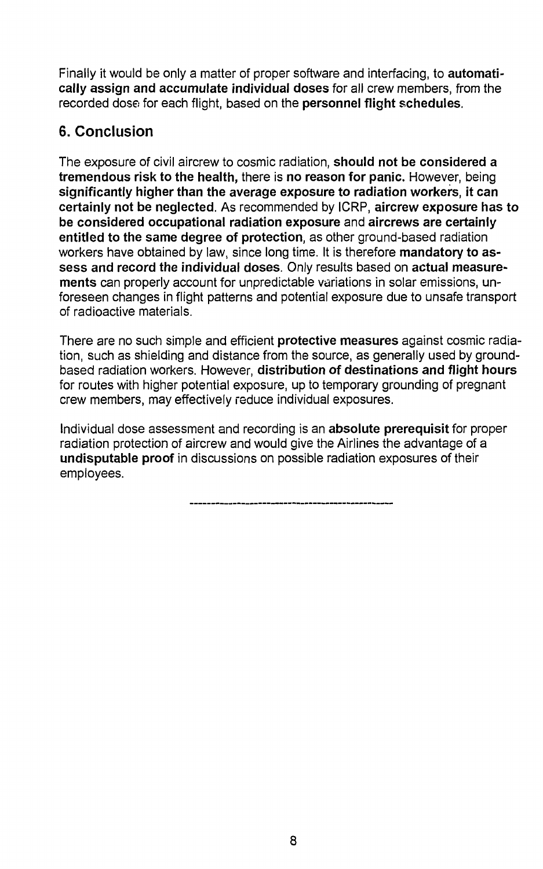Finally it would be only a matter of proper software and interfacing, to **automatically assign and accumulate individual doses** for all crew members, from the recorded dose for each flight, based on the **personnel flight schedules.**

### **6. Conclusion**

The exposure of civil aircrew to cosmic radiation, **should not be considered a tremendous risk to the health,** there is **no reason for panic.** However, being **significantly higher than the average exposure to radiation workers, it can certainly not be neglected.** As recommended by ICRP, **aircrew exposure has to be considered occupational radiation exposure** and **aircrews are certainly entitled to the same degree of protection,** as other ground-based radiation workers have obtained by law, since long time. It is therefore **mandatory to assess and record the individual doses.** Only results based on **actual measurements** can properly account for unpredictable variations in solar emissions, unforeseen changes in flight patterns and potential exposure due to unsafe transport of radioactive materials.

There are no such simple and efficient **protective measures** against cosmic radiation, such as shielding and distance from the source, as generally used by groundbased radiation workers. However, **distribution of destinations and flight hours** for routes with higher potential exposure, up to temporary grounding of pregnant crew members, may effectively reduce individual exposures.

Individual dose assessment and recording is an **absolute prerequisit** for proper radiation protection of aircrew and would give the Airlines the advantage of a **undisputable proof** in discussions on possible radiation exposures of their employees.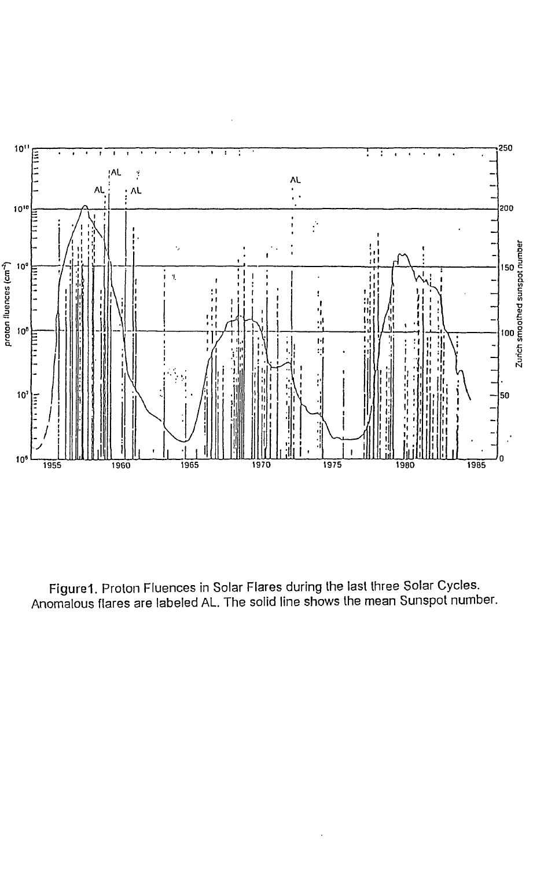

Figure1, Proton Fluences in Solar Flares during the last three Solar Cycles. Anomalous flares are labeled AL. The solid line shows the mean Sunspot number.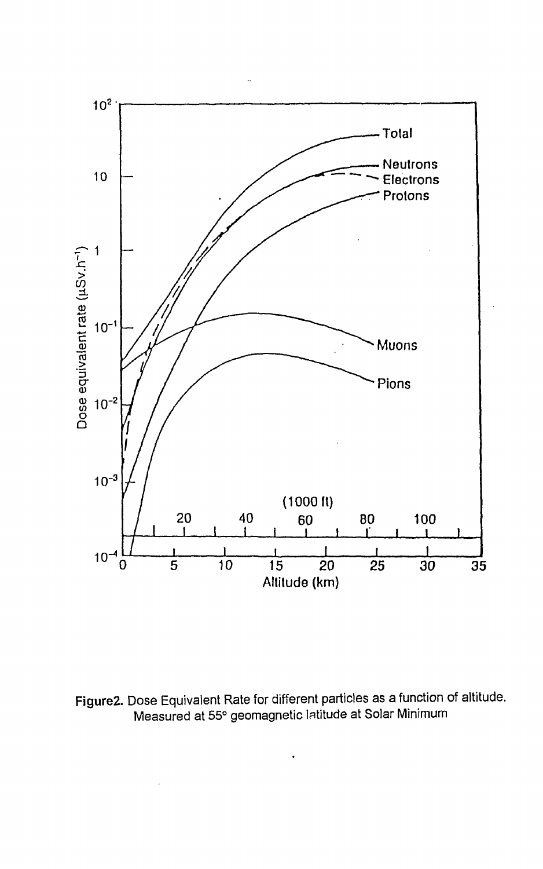

Figure2. Dose Equivalent Rate for different particles as a function of altitude. Measured at 55° geomagnetic latitude at Solar Minimum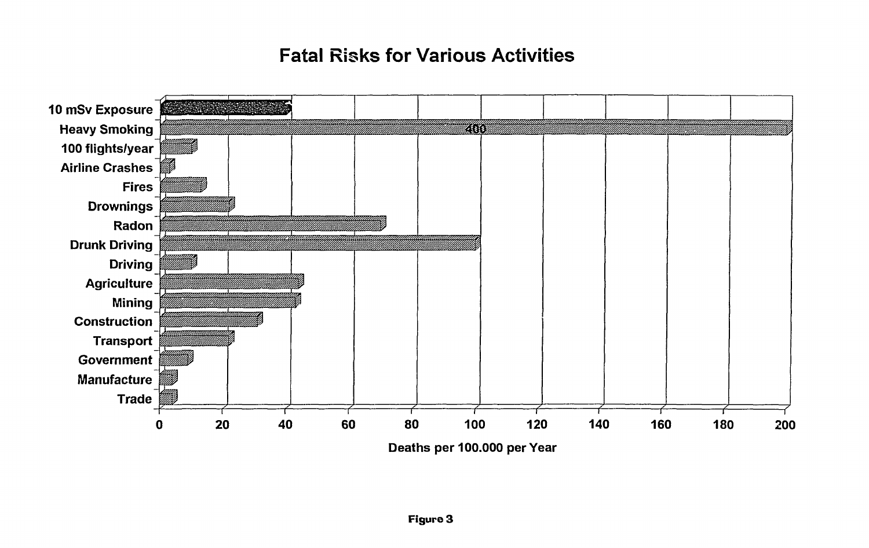## **Fatal Risks for Various Activities**

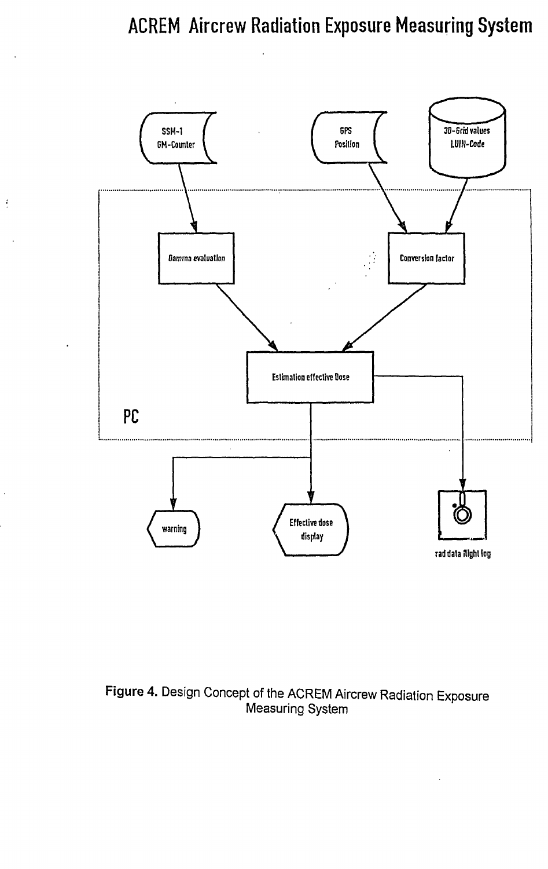## **ACREM Aircrew Radiation Exposure Measuring System**



 $\frac{1}{2}$ 

### Figure 4. Design Concept of the ACREM Aircrew Radiation Exposure Measuring System